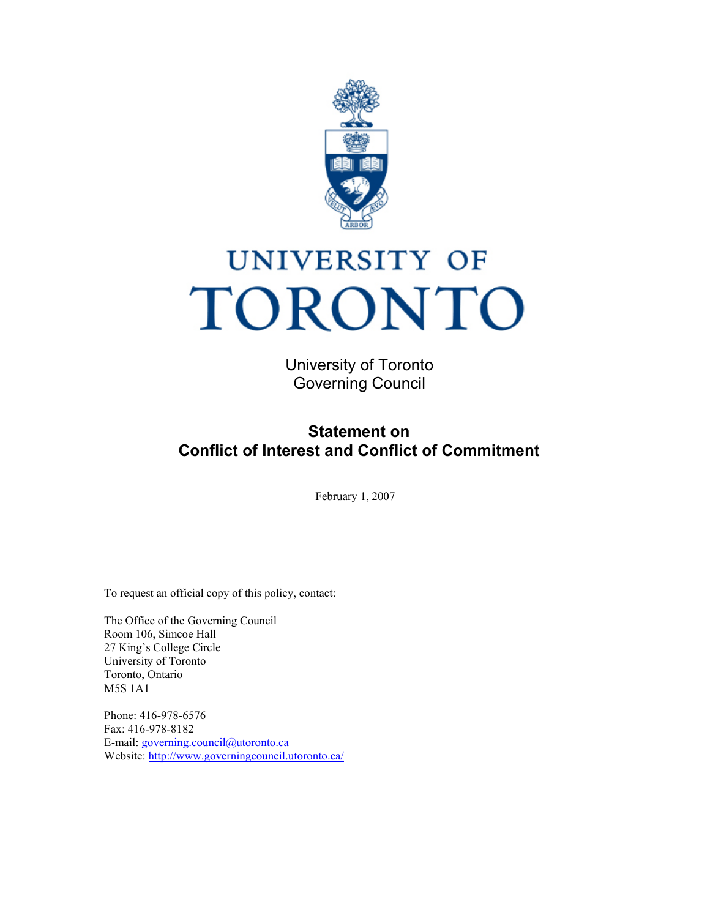

# UNIVERSITY OF TORONTO

University of Toronto Governing Council

## **Statement on Conflict of Interest and Conflict of Commitment**

February 1, 2007

To request an official copy of this policy, contact:

The Office of the Governing Council Room 106, Simcoe Hall 27 King's College Circle University of Toronto Toronto, Ontario M5S 1A1

Phone: 416-978-6576 Fax: 416-978-8182 E-mail: [governing.council@utoronto.ca](mailto:governing.council@utoronto.ca) Website:<http://www.governingcouncil.utoronto.ca/>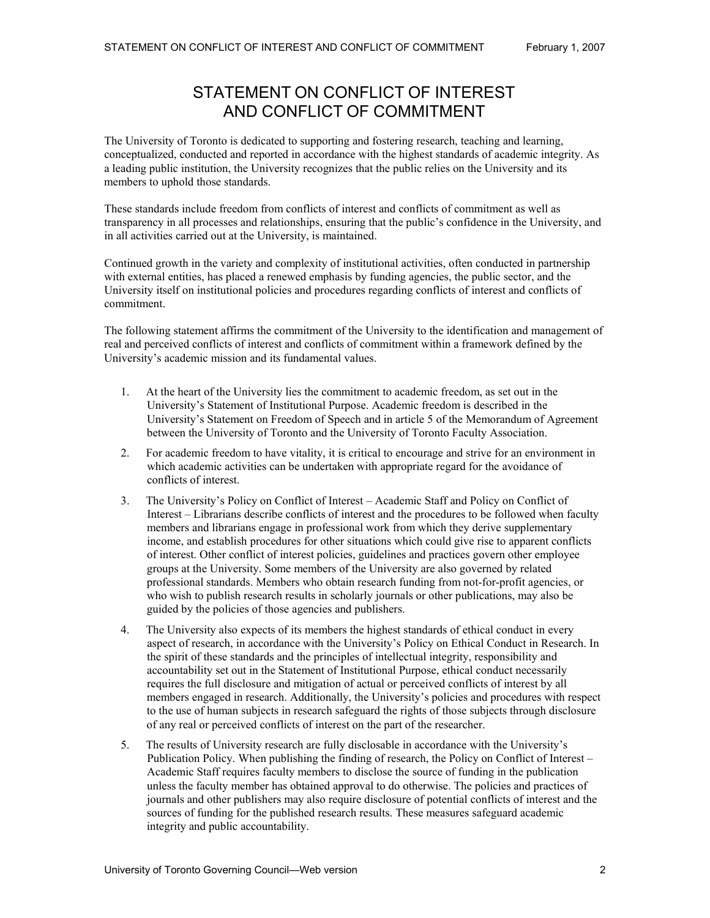## STATEMENT ON CONFLICT OF INTEREST AND CONFLICT OF COMMITMENT

The University of Toronto is dedicated to supporting and fostering research, teaching and learning, conceptualized, conducted and reported in accordance with the highest standards of academic integrity. As a leading public institution, the University recognizes that the public relies on the University and its members to uphold those standards.

These standards include freedom from conflicts of interest and conflicts of commitment as well as transparency in all processes and relationships, ensuring that the public's confidence in the University, and in all activities carried out at the University, is maintained.

Continued growth in the variety and complexity of institutional activities, often conducted in partnership with external entities, has placed a renewed emphasis by funding agencies, the public sector, and the University itself on institutional policies and procedures regarding conflicts of interest and conflicts of commitment.

The following statement affirms the commitment of the University to the identification and management of real and perceived conflicts of interest and conflicts of commitment within a framework defined by the University's academic mission and its fundamental values.

- 1. At the heart of the University lies the commitment to academic freedom, as set out in the University's Statement of Institutional Purpose. Academic freedom is described in the University's Statement on Freedom of Speech and in article 5 of the Memorandum of Agreement between the University of Toronto and the University of Toronto Faculty Association.
- 2. For academic freedom to have vitality, it is critical to encourage and strive for an environment in which academic activities can be undertaken with appropriate regard for the avoidance of conflicts of interest.
- 3. The University's Policy on Conflict of Interest Academic Staff and Policy on Conflict of Interest – Librarians describe conflicts of interest and the procedures to be followed when faculty members and librarians engage in professional work from which they derive supplementary income, and establish procedures for other situations which could give rise to apparent conflicts of interest. Other conflict of interest policies, guidelines and practices govern other employee groups at the University. Some members of the University are also governed by related professional standards. Members who obtain research funding from not-for-profit agencies, or who wish to publish research results in scholarly journals or other publications, may also be guided by the policies of those agencies and publishers.
- 4. The University also expects of its members the highest standards of ethical conduct in every aspect of research, in accordance with the University's Policy on Ethical Conduct in Research. In the spirit of these standards and the principles of intellectual integrity, responsibility and accountability set out in the Statement of Institutional Purpose, ethical conduct necessarily requires the full disclosure and mitigation of actual or perceived conflicts of interest by all members engaged in research. Additionally, the University's policies and procedures with respect to the use of human subjects in research safeguard the rights of those subjects through disclosure of any real or perceived conflicts of interest on the part of the researcher.
- 5. The results of University research are fully disclosable in accordance with the University's Publication Policy. When publishing the finding of research, the Policy on Conflict of Interest – Academic Staff requires faculty members to disclose the source of funding in the publication unless the faculty member has obtained approval to do otherwise. The policies and practices of journals and other publishers may also require disclosure of potential conflicts of interest and the sources of funding for the published research results. These measures safeguard academic integrity and public accountability.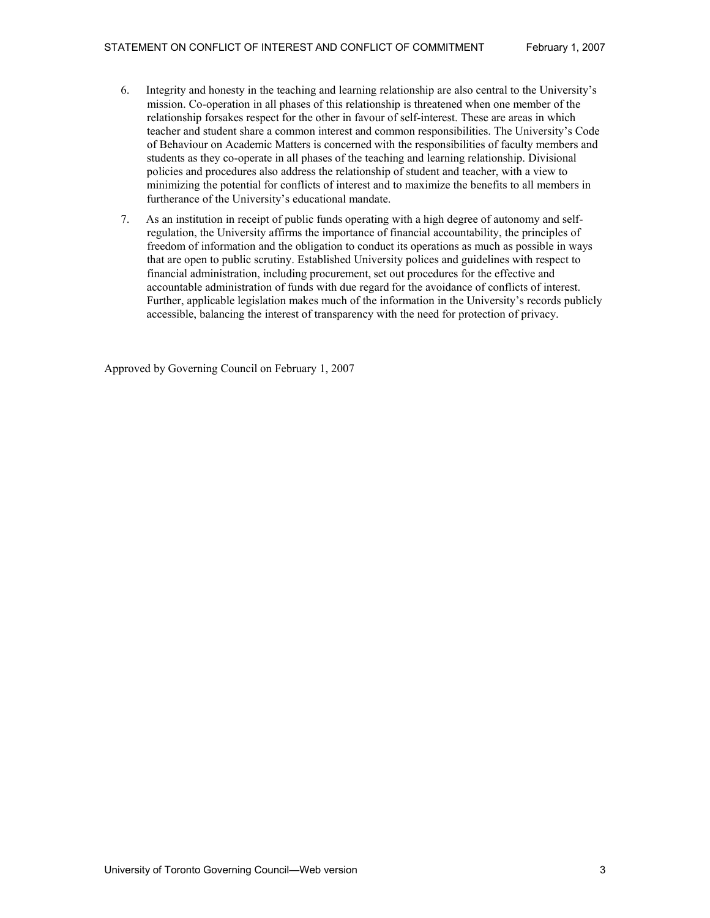- 6. Integrity and honesty in the teaching and learning relationship are also central to the University's mission. Co-operation in all phases of this relationship is threatened when one member of the relationship forsakes respect for the other in favour of self-interest. These are areas in which teacher and student share a common interest and common responsibilities. The University's Code of Behaviour on Academic Matters is concerned with the responsibilities of faculty members and students as they co-operate in all phases of the teaching and learning relationship. Divisional policies and procedures also address the relationship of student and teacher, with a view to minimizing the potential for conflicts of interest and to maximize the benefits to all members in furtherance of the University's educational mandate.
- 7. As an institution in receipt of public funds operating with a high degree of autonomy and selfregulation, the University affirms the importance of financial accountability, the principles of freedom of information and the obligation to conduct its operations as much as possible in ways that are open to public scrutiny. Established University polices and guidelines with respect to financial administration, including procurement, set out procedures for the effective and accountable administration of funds with due regard for the avoidance of conflicts of interest. Further, applicable legislation makes much of the information in the University's records publicly accessible, balancing the interest of transparency with the need for protection of privacy.

Approved by Governing Council on February 1, 2007